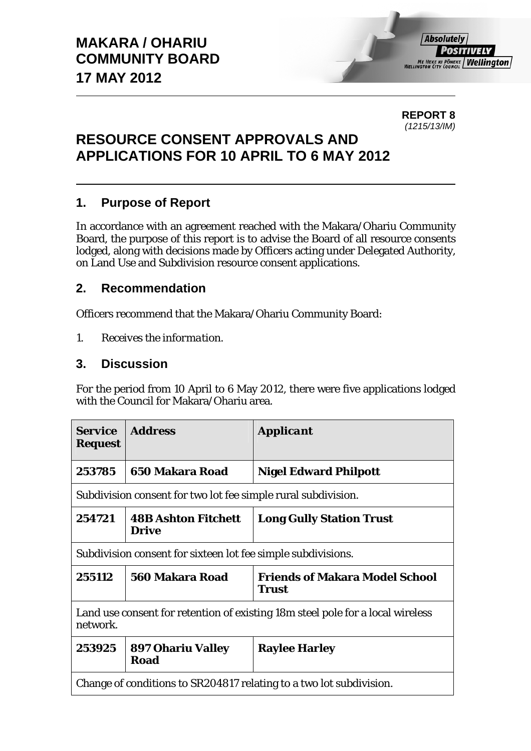**REPORT 8**  *(1215/13/IM)* 

# **RESOURCE CONSENT APPROVALS AND APPLICATIONS FOR 10 APRIL TO 6 MAY 2012**

### **1. Purpose of Report**

In accordance with an agreement reached with the Makara/Ohariu Community Board, the purpose of this report is to advise the Board of all resource consents lodged, along with decisions made by Officers acting under Delegated Authority, on Land Use and Subdivision resource consent applications.

### **2. Recommendation**

Officers recommend that the Makara/Ohariu Community Board:

*1. Receives the information.* 

### **3. Discussion**

For the period from 10 April to 6 May 2012, there were five applications lodged with the Council for Makara/Ohariu area.

| <i><b>Service</b></i><br><b>Request</b>                                                    | <b>Address</b>                          | <i><b>Applicant</b></i>                        |  |
|--------------------------------------------------------------------------------------------|-----------------------------------------|------------------------------------------------|--|
| 253785                                                                                     | 650 Makara Road                         | <b>Nigel Edward Philpott</b>                   |  |
| Subdivision consent for two lot fee simple rural subdivision.                              |                                         |                                                |  |
| 254721                                                                                     | <b>48B Ashton Fitchett</b><br>Drive     | <b>Long Gully Station Trust</b>                |  |
| Subdivision consent for sixteen lot fee simple subdivisions.                               |                                         |                                                |  |
| 255112                                                                                     | 560 Makara Road                         | <b>Friends of Makara Model School</b><br>Trust |  |
| Land use consent for retention of existing 18m steel pole for a local wireless<br>network. |                                         |                                                |  |
| 253925                                                                                     | <b>897 Ohariu Valley</b><br><b>Road</b> | <b>Raylee Harley</b>                           |  |
| Change of conditions to SR204817 relating to a two lot subdivision.                        |                                         |                                                |  |